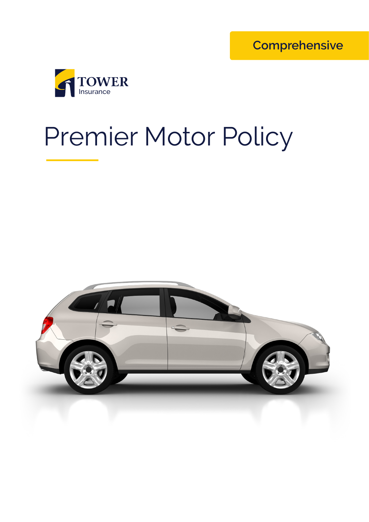**Comprehensive**



# Premier Motor Policy

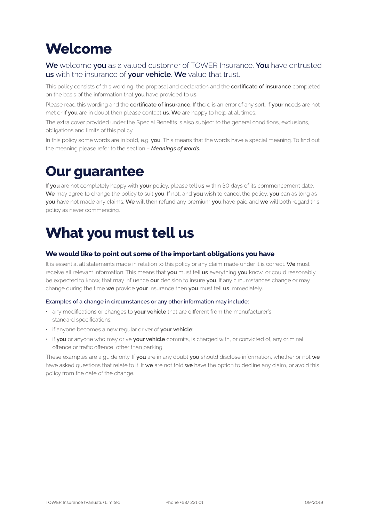# **Welcome**

#### **We** welcome **you** as a valued customer of TOWER Insurance. **You** have entrusted **us** with the insurance of **your vehicle**. **We** value that trust.

This policy consists of this wording, the proposal and declaration and the **certificate of insurance** completed on the basis of the information that **you** have provided to **us**.

Please read this wording and the **certificate of insurance**. If there is an error of any sort, if **your** needs are not met or if **you** are in doubt then please contact **us**. **We** are happy to help at all times.

The extra cover provided under the Special Benefits is also subject to the general conditions, exclusions, obligations and limits of this policy.

In this policy some words are in bold, e.g. **you**. This means that the words have a special meaning. To find out the meaning please refer to the section – *Meanings of words.*

# **Our guarantee**

If **you** are not completely happy with **your** policy, please tell **us** within 30 days of its commencement date. **We** may agree to change the policy to suit **you**. If not, and **you** wish to cancel the policy, **you** can as long as **you** have not made any claims. **We** will then refund any premium **you** have paid and **we** will both regard this policy as never commencing.

# **What you must tell us**

#### **We would like to point out some of the important obligations you have**

It is essential all statements made in relation to this policy or any claim made under it is correct. **We** must receive all relevant information. This means that **you** must tell **us** everything **you** know, or could reasonably be expected to know, that may influence **our** decision to insure **you**. If any circumstances change or may change during the time **we** provide **your** insurance then **you** must tell **us** immediately.

#### **Examples of a change in circumstances or any other information may include:**

- any modifications or changes to **your vehicle** that are different from the manufacturer's standard specifications;
- if anyone becomes a new regular driver of **your vehicle**;
- if **you** or anyone who may drive **your vehicle** commits, is charged with, or convicted of, any criminal offence or traffic offence, other than parking.

These examples are a guide only. If **you** are in any doubt **you** should disclose information, whether or not **we** have asked questions that relate to it. If **we** are not told **we** have the option to decline any claim, or avoid this policy from the date of the change.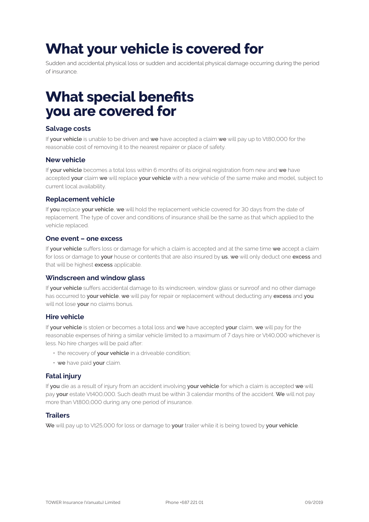# **What your vehicle is covered for**

Sudden and accidental physical loss or sudden and accidental physical damage occurring during the period of insurance.

# **What special benefits you are covered for**

#### **Salvage costs**

If **your vehicle** is unable to be driven and **we** have accepted a claim **we** will pay up to Vt80,000 for the reasonable cost of removing it to the nearest repairer or place of safety.

#### **New vehicle**

If **your vehicle** becomes a total loss within 6 months of its original registration from new and **we** have accepted **your** claim **we** will replace **your vehicle** with a new vehicle of the same make and model, subject to current local availability.

#### **Replacement vehicle**

If **you** replace **your vehicle**, **we** will hold the replacement vehicle covered for 30 days from the date of replacement. The type of cover and conditions of insurance shall be the same as that which applied to the vehicle replaced.

#### **One event – one excess**

If **your vehicle** suffers loss or damage for which a claim is accepted and at the same time **we** accept a claim for loss or damage to **your** house or contents that are also insured by **us**, **we** will only deduct one **excess** and that will be highest **excess** applicable.

#### **Windscreen and window glass**

If **your vehicle** suffers accidental damage to its windscreen, window glass or sunroof and no other damage has occurred to **your vehicle**, **we** will pay for repair or replacement without deducting any **excess** and **you** will not lose **your** no claims bonus.

#### **Hire vehicle**

If **your vehicle** is stolen or becomes a total loss and **we** have accepted **your** claim, **we** will pay for the reasonable expenses of hiring a similar vehicle limited to a maximum of 7 days hire or Vt40,000 whichever is less. No hire charges will be paid after:

- the recovery of **your vehicle** in a driveable condition;
- **we** have paid **your** claim.

#### **Fatal injury**

If **you** die as a result of injury from an accident involving **your vehicle** for which a claim is accepted **we** will pay **your** estate Vt400,000. Such death must be within 3 calendar months of the accident. **We** will not pay more than Vt800,000 during any one period of insurance.

#### **Trailers**

**We** will pay up to Vt25,000 for loss or damage to **your** trailer while it is being towed by **your vehicle**.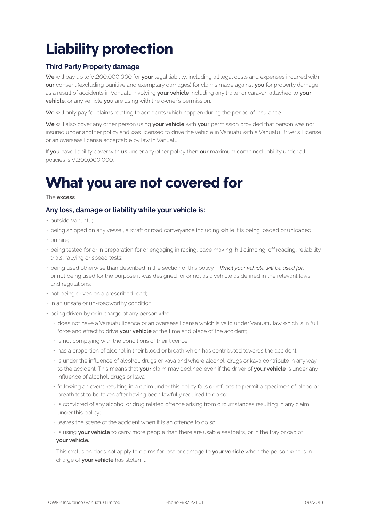# **Liability protection**

#### **Third Party Property damage**

**We** will pay up to Vt200,000,000 for **your** legal liability, including all legal costs and expenses incurred with **our** consent (excluding punitive and exemplary damages) for claims made against **you** for property damage as a result of accidents in Vanuatu involving **your vehicle** including any trailer or caravan attached to **your vehicle**, or any vehicle **you** are using with the owner's permission.

**We** will only pay for claims relating to accidents which happen during the period of insurance.

**We** will also cover any other person using **your vehicle** with **your** permission provided that person was not insured under another policy and was licensed to drive the vehicle in Vanuatu with a Vanuatu Driver's License or an overseas license acceptable by law in Vanuatu.

If **you** have liability cover with **us** under any other policy then **our** maximum combined liability under all policies is Vt200,000,000.

# **What you are not covered for**

The **excess**.

#### **Any loss, damage or liability while your vehicle is:**

- outside Vanuatu;
- being shipped on any vessel, aircraft or road conveyance including while it is being loaded or unloaded;
- on hire:
- being tested for or in preparation for or engaging in racing, pace making, hill climbing, off roading, reliability trials, rallying or speed tests;
- being used otherwise than described in the section of this policy *What your vehicle will be used for*, or not being used for the purpose it was designed for or not as a vehicle as defined in the relevant laws and regulations;
- not being driven on a prescribed road;
- in an unsafe or un-roadworthy condition;
- being driven by or in charge of any person who:
	- does not have a Vanuatu licence or an overseas license which is valid under Vanuatu law which is in full force and effect to drive **your vehicle** at the time and place of the accident;
	- is not complying with the conditions of their licence;
	- has a proportion of alcohol in their blood or breath which has contributed towards the accident;
	- is under the influence of alcohol, drugs or kava and where alcohol, drugs or kava contribute in any way to the accident. This means that **your** claim may declined even if the driver of **your vehicle** is under any influence of alcohol, drugs or kava;
	- following an event resulting in a claim under this policy fails or refuses to permit a specimen of blood or breath test to be taken after having been lawfully required to do so;
	- is convicted of any alcohol or drug related offence arising from circumstances resulting in any claim under this policy;
	- leaves the scene of the accident when it is an offence to do so;
	- is using **your vehicle** to carry more people than there are usable seatbelts, or in the tray or cab of **your vehicle.**

This exclusion does not apply to claims for loss or damage to **your vehicle** when the person who is in charge of **your vehicle** has stolen it.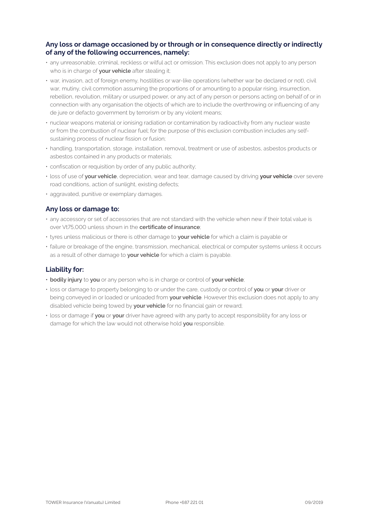#### **Any loss or damage occasioned by or through or in consequence directly or indirectly of any of the following occurrences, namely:**

- any unreasonable, criminal, reckless or wilful act or omission. This exclusion does not apply to any person who is in charge of **your vehicle** after stealing it;
- war, invasion, act of foreign enemy, hostilities or war-like operations (whether war be declared or not), civil war, mutiny, civil commotion assuming the proportions of or amounting to a popular rising, insurrection, rebellion, revolution, military or usurped power, or any act of any person or persons acting on behalf of or in connection with any organisation the objects of which are to include the overthrowing or influencing of any de jure or defacto government by terrorism or by any violent means;
- nuclear weapons material or ionising radiation or contamination by radioactivity from any nuclear waste or from the combustion of nuclear fuel; for the purpose of this exclusion combustion includes any selfsustaining process of nuclear fission or fusion;
- handling, transportation, storage, installation, removal, treatment or use of asbestos, asbestos products or asbestos contained in any products or materials;
- confiscation or requisition by order of any public authority;
- loss of use of **your vehicle**, depreciation, wear and tear, damage caused by driving **your vehicle** over severe road conditions, action of sunlight, existing defects;
- aggravated, punitive or exemplary damages.

#### **Any loss or damage to:**

- any accessory or set of accessories that are not standard with the vehicle when new if their total value is over Vt75,000 unless shown in the **certificate of insurance**;
- tyres unless malicious or there is other damage to **your vehicle** for which a claim is payable or
- failure or breakage of the engine, transmission, mechanical, electrical or computer systems unless it occurs as a result of other damage to **your vehicle** for which a claim is payable.

#### **Liability for:**

- **• bodily injury** to **you** or any person who is in charge or control of **your vehicle**;
- loss or damage to property belonging to or under the care, custody or control of **you** or **your** driver or being conveyed in or loaded or unloaded from **your vehicle**. However this exclusion does not apply to any disabled vehicle being towed by **your vehicle** for no financial gain or reward;
- loss or damage if **you** or **your** driver have agreed with any party to accept responsibility for any loss or damage for which the law would not otherwise hold **you** responsible.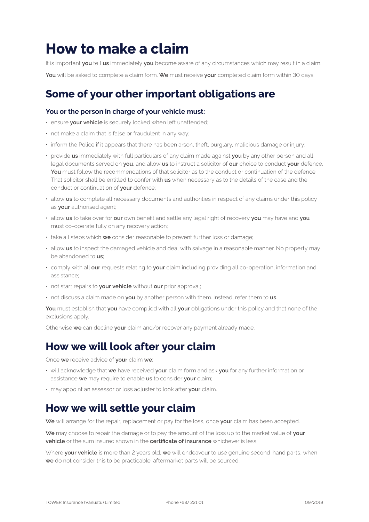# **How to make a claim**

It is important **you** tell **us** immediately **you** become aware of any circumstances which may result in a claim. **You** will be asked to complete a claim form. **We** must receive **your** completed claim form within 30 days.

# **Some of your other important obligations are**

#### **You or the person in charge of your vehicle must:**

- ensure **your vehicle** is securely locked when left unattended;
- not make a claim that is false or fraudulent in any way;
- inform the Police if it appears that there has been arson, theft, burglary, malicious damage or injury;
- provide **us** immediately with full particulars of any claim made against **you** by any other person and all legal documents served on **you**, and allow **us** to instruct a solicitor of **our** choice to conduct **your** defence. You must follow the recommendations of that solicitor as to the conduct or continuation of the defence. That solicitor shall be entitled to confer with **us** when necessary as to the details of the case and the conduct or continuation of **your** defence;
- allow **us** to complete all necessary documents and authorities in respect of any claims under this policy as **your** authorised agent;
- allow **us** to take over for **our** own benefit and settle any legal right of recovery **you** may have and **you** must co-operate fully on any recovery action;
- take all steps which **we** consider reasonable to prevent further loss or damage;
- allow **us** to inspect the damaged vehicle and deal with salvage in a reasonable manner. No property may be abandoned to **us**;
- comply with all **our** requests relating to **your** claim including providing all co-operation, information and assistance;
- not start repairs to **your vehicle** without **our** prior approval;
- not discuss a claim made on **you** by another person with them. Instead, refer them to **us**.

**You** must establish that **you** have complied with all **your** obligations under this policy and that none of the exclusions apply.

Otherwise **we** can decline **your** claim and/or recover any payment already made.

### **How we will look after your claim**

Once **we** receive advice of **your** claim **we**:

- will acknowledge that **we** have received **your** claim form and ask **you** for any further information or assistance **we** may require to enable **us** to consider **your** claim;
- may appoint an assessor or loss adjuster to look after **your** claim.

### **How we will settle your claim**

**We** will arrange for the repair, replacement or pay for the loss, once **your** claim has been accepted.

**We** may choose to repair the damage or to pay the amount of the loss up to the market value of **your vehicle** or the sum insured shown in the **certificate of insurance** whichever is less.

Where **your vehicle** is more than 2 years old, **we** will endeavour to use genuine second-hand parts, when **we** do not consider this to be practicable, aftermarket parts will be sourced.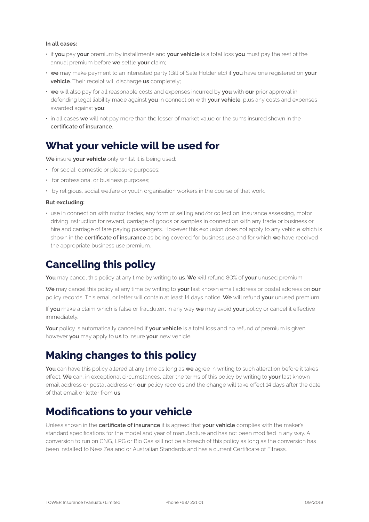#### **In all cases:**

- if **you** pay **your** premium by installments and **your vehicle** is a total loss **you** must pay the rest of the annual premium before **we** settle **your** claim;
- **we** may make payment to an interested party (Bill of Sale Holder etc) if **you** have one registered on **your vehicle**. Their receipt will discharge **us** completely;
- **we** will also pay for all reasonable costs and expenses incurred by **you** with **our** prior approval in defending legal liability made against **you** in connection with **your vehicle**, plus any costs and expenses awarded against **you**;
- in all cases **we** will not pay more than the lesser of market value or the sums insured shown in the **certificate of insurance**.

### **What your vehicle will be used for**

**We** insure **your vehicle** only whilst it is being used:

- for social, domestic or pleasure purposes;
- for professional or business purposes;
- by religious, social welfare or youth organisation workers in the course of that work.

#### **But excluding:**

• use in connection with motor trades, any form of selling and/or collection, insurance assessing, motor driving instruction for reward, carriage of goods or samples in connection with any trade or business or hire and carriage of fare paying passengers. However this exclusion does not apply to any vehicle which is shown in the **certificate of insurance** as being covered for business use and for which **we** have received the appropriate business use premium.

### **Cancelling this policy**

**You** may cancel this policy at any time by writing to **us**. **We** will refund 80% of **your** unused premium.

**We** may cancel this policy at any time by writing to **your** last known email address or postal address on **our** policy records. This email or letter will contain at least 14 days notice. **We** will refund **your** unused premium.

If **you** make a claim which is false or fraudulent in any way **we** may avoid **your** policy or cancel it effective immediately.

**Your** policy is automatically cancelled if **your vehicle** is a total loss and no refund of premium is given however **you** may apply to **us** to insure **your** new vehicle.

## **Making changes to this policy**

**You** can have this policy altered at any time as long as **we** agree in writing to such alteration before it takes effect. **We** can, in exceptional circumstances, alter the terms of this policy by writing to **your** last known email address or postal address on **our** policy records and the change will take effect 14 days after the date of that email or letter from **us**.

### **Modifications to your vehicle**

Unless shown in the **certificate of insurance** it is agreed that **your vehicle** complies with the maker's standard specifications for the model and year of manufacture and has not been modified in any way. A conversion to run on CNG, LPG or Bio Gas will not be a breach of this policy as long as the conversion has been installed to New Zealand or Australian Standards and has a current Certificate of Fitness.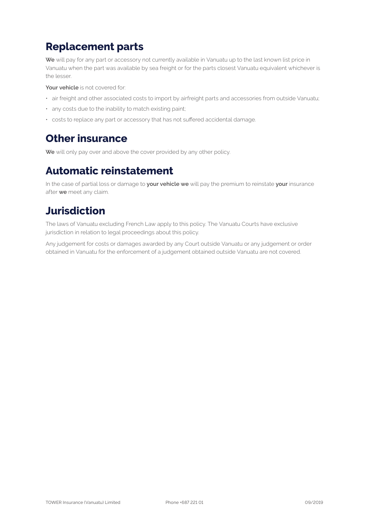# **Replacement parts**

**We** will pay for any part or accessory not currently available in Vanuatu up to the last known list price in Vanuatu when the part was available by sea freight or for the parts closest Vanuatu equivalent whichever is the lesser.

**Your vehicle** is not covered for:

- air freight and other associated costs to import by airfreight parts and accessories from outside Vanuatu;
- any costs due to the inability to match existing paint;
- costs to replace any part or accessory that has not suffered accidental damage.

### **Other insurance**

**We** will only pay over and above the cover provided by any other policy.

## **Automatic reinstatement**

In the case of partial loss or damage to **your vehicle we** will pay the premium to reinstate **your** insurance after **we** meet any claim.

## **Jurisdiction**

The laws of Vanuatu excluding French Law apply to this policy. The Vanuatu Courts have exclusive jurisdiction in relation to legal proceedings about this policy.

Any judgement for costs or damages awarded by any Court outside Vanuatu or any judgement or order obtained in Vanuatu for the enforcement of a judgement obtained outside Vanuatu are not covered.